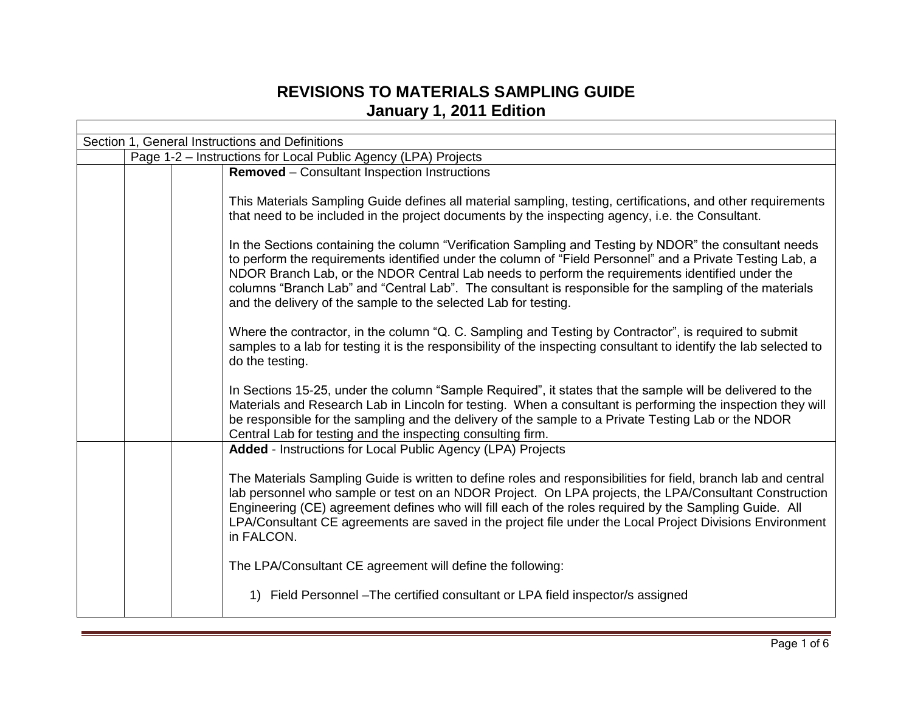## **REVISIONS TO MATERIALS SAMPLING GUIDE January 1, 2011 Edition**

| Section 1, General Instructions and Definitions |                                                                |                                                                                                                                                                                                                                                                                                                                                                                                                                                                                                      |  |
|-------------------------------------------------|----------------------------------------------------------------|------------------------------------------------------------------------------------------------------------------------------------------------------------------------------------------------------------------------------------------------------------------------------------------------------------------------------------------------------------------------------------------------------------------------------------------------------------------------------------------------------|--|
|                                                 | Page 1-2 - Instructions for Local Public Agency (LPA) Projects |                                                                                                                                                                                                                                                                                                                                                                                                                                                                                                      |  |
|                                                 |                                                                | <b>Removed</b> – Consultant Inspection Instructions                                                                                                                                                                                                                                                                                                                                                                                                                                                  |  |
|                                                 |                                                                | This Materials Sampling Guide defines all material sampling, testing, certifications, and other requirements<br>that need to be included in the project documents by the inspecting agency, i.e. the Consultant.                                                                                                                                                                                                                                                                                     |  |
|                                                 |                                                                | In the Sections containing the column "Verification Sampling and Testing by NDOR" the consultant needs<br>to perform the requirements identified under the column of "Field Personnel" and a Private Testing Lab, a<br>NDOR Branch Lab, or the NDOR Central Lab needs to perform the requirements identified under the<br>columns "Branch Lab" and "Central Lab". The consultant is responsible for the sampling of the materials<br>and the delivery of the sample to the selected Lab for testing. |  |
|                                                 |                                                                | Where the contractor, in the column "Q. C. Sampling and Testing by Contractor", is required to submit<br>samples to a lab for testing it is the responsibility of the inspecting consultant to identify the lab selected to<br>do the testing.                                                                                                                                                                                                                                                       |  |
|                                                 |                                                                | In Sections 15-25, under the column "Sample Required", it states that the sample will be delivered to the<br>Materials and Research Lab in Lincoln for testing. When a consultant is performing the inspection they will<br>be responsible for the sampling and the delivery of the sample to a Private Testing Lab or the NDOR<br>Central Lab for testing and the inspecting consulting firm.                                                                                                       |  |
|                                                 |                                                                | Added - Instructions for Local Public Agency (LPA) Projects                                                                                                                                                                                                                                                                                                                                                                                                                                          |  |
|                                                 |                                                                | The Materials Sampling Guide is written to define roles and responsibilities for field, branch lab and central<br>lab personnel who sample or test on an NDOR Project. On LPA projects, the LPA/Consultant Construction<br>Engineering (CE) agreement defines who will fill each of the roles required by the Sampling Guide. All<br>LPA/Consultant CE agreements are saved in the project file under the Local Project Divisions Environment<br>in FALCON.                                          |  |
|                                                 |                                                                | The LPA/Consultant CE agreement will define the following:                                                                                                                                                                                                                                                                                                                                                                                                                                           |  |
|                                                 |                                                                | 1) Field Personnel - The certified consultant or LPA field inspector/s assigned                                                                                                                                                                                                                                                                                                                                                                                                                      |  |

ı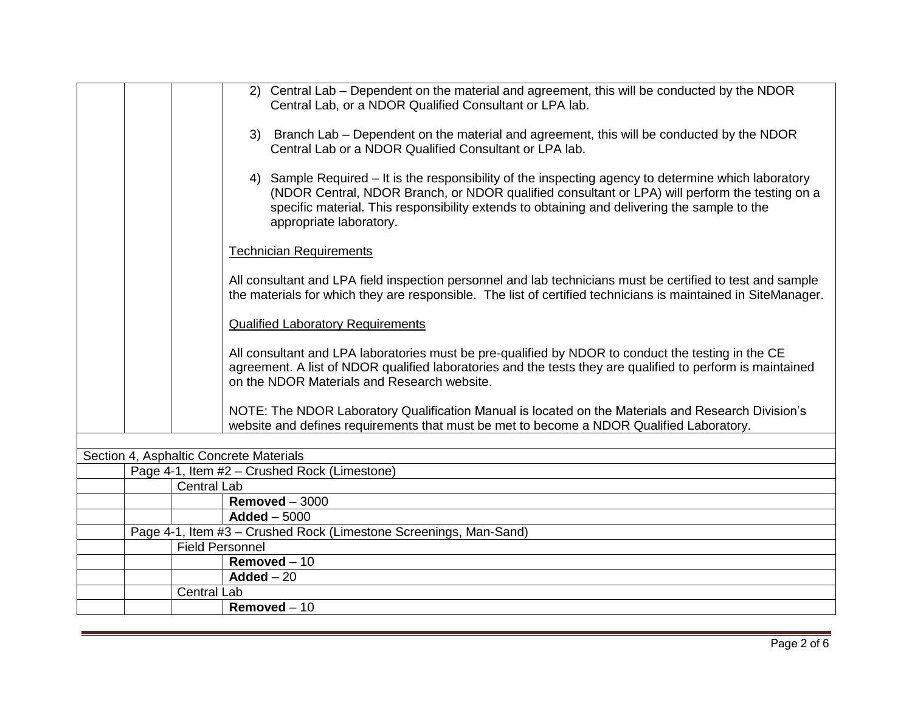|  |                        | 2) Central Lab – Dependent on the material and agreement, this will be conducted by the NDOR<br>Central Lab, or a NDOR Qualified Consultant or LPA lab.                                                                                                                                                                           |
|--|------------------------|-----------------------------------------------------------------------------------------------------------------------------------------------------------------------------------------------------------------------------------------------------------------------------------------------------------------------------------|
|  |                        | 3) Branch Lab – Dependent on the material and agreement, this will be conducted by the NDOR<br>Central Lab or a NDOR Qualified Consultant or LPA lab.                                                                                                                                                                             |
|  |                        | 4) Sample Required – It is the responsibility of the inspecting agency to determine which laboratory<br>(NDOR Central, NDOR Branch, or NDOR qualified consultant or LPA) will perform the testing on a<br>specific material. This responsibility extends to obtaining and delivering the sample to the<br>appropriate laboratory. |
|  |                        | <b>Technician Requirements</b>                                                                                                                                                                                                                                                                                                    |
|  |                        | All consultant and LPA field inspection personnel and lab technicians must be certified to test and sample<br>the materials for which they are responsible. The list of certified technicians is maintained in SiteManager.                                                                                                       |
|  |                        | <b>Qualified Laboratory Requirements</b>                                                                                                                                                                                                                                                                                          |
|  |                        | All consultant and LPA laboratories must be pre-qualified by NDOR to conduct the testing in the CE<br>agreement. A list of NDOR qualified laboratories and the tests they are qualified to perform is maintained<br>on the NDOR Materials and Research website.                                                                   |
|  |                        | NOTE: The NDOR Laboratory Qualification Manual is located on the Materials and Research Division's<br>website and defines requirements that must be met to become a NDOR Qualified Laboratory.                                                                                                                                    |
|  |                        |                                                                                                                                                                                                                                                                                                                                   |
|  |                        | Section 4, Asphaltic Concrete Materials                                                                                                                                                                                                                                                                                           |
|  | <b>Central Lab</b>     | Page 4-1, Item #2 - Crushed Rock (Limestone)                                                                                                                                                                                                                                                                                      |
|  |                        | Removed $-3000$                                                                                                                                                                                                                                                                                                                   |
|  |                        | $Added - 5000$                                                                                                                                                                                                                                                                                                                    |
|  |                        | Page 4-1, Item #3 - Crushed Rock (Limestone Screenings, Man-Sand)                                                                                                                                                                                                                                                                 |
|  | <b>Field Personnel</b> |                                                                                                                                                                                                                                                                                                                                   |
|  |                        | Removed $-10$                                                                                                                                                                                                                                                                                                                     |
|  |                        | $Added - 20$                                                                                                                                                                                                                                                                                                                      |
|  | <b>Central Lab</b>     |                                                                                                                                                                                                                                                                                                                                   |
|  |                        | Removed $-10$                                                                                                                                                                                                                                                                                                                     |
|  |                        |                                                                                                                                                                                                                                                                                                                                   |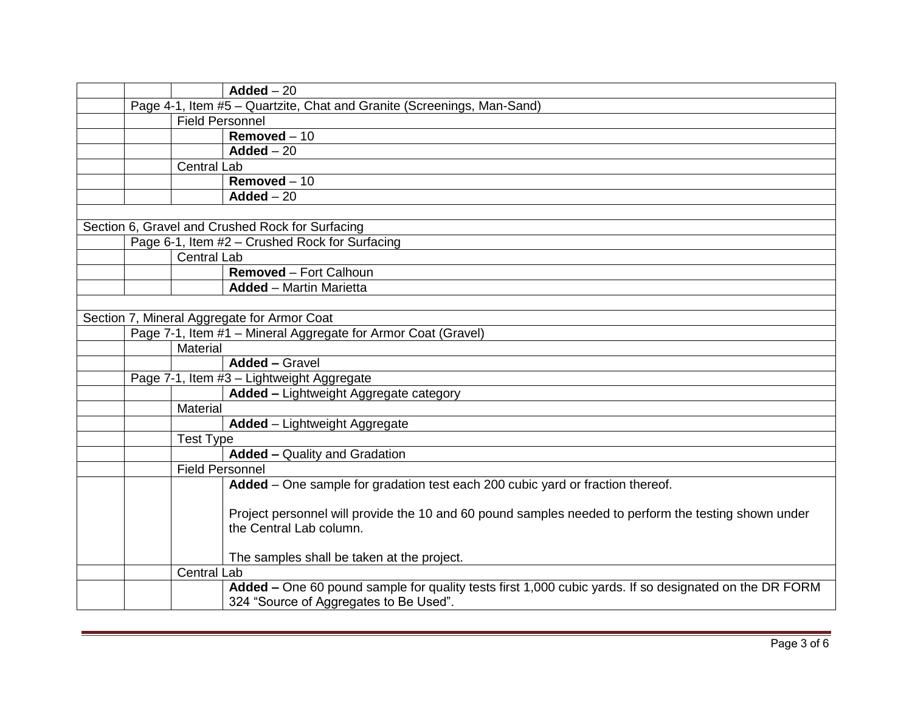|                                                                        |                        | $Added - 20$                                                                                           |  |
|------------------------------------------------------------------------|------------------------|--------------------------------------------------------------------------------------------------------|--|
| Page 4-1, Item #5 - Quartzite, Chat and Granite (Screenings, Man-Sand) |                        |                                                                                                        |  |
|                                                                        | <b>Field Personnel</b> |                                                                                                        |  |
|                                                                        |                        | $Removed - 10$                                                                                         |  |
|                                                                        |                        | $\overline{\mathsf{Added} - 20}$                                                                       |  |
|                                                                        | <b>Central Lab</b>     |                                                                                                        |  |
|                                                                        |                        | Removed $-10$                                                                                          |  |
|                                                                        |                        | $Added - 20$                                                                                           |  |
|                                                                        |                        |                                                                                                        |  |
|                                                                        |                        | Section 6, Gravel and Crushed Rock for Surfacing                                                       |  |
|                                                                        |                        | Page 6-1, Item #2 - Crushed Rock for Surfacing                                                         |  |
|                                                                        | <b>Central Lab</b>     |                                                                                                        |  |
|                                                                        |                        | <b>Removed - Fort Calhoun</b>                                                                          |  |
|                                                                        |                        | <b>Added</b> - Martin Marietta                                                                         |  |
|                                                                        |                        |                                                                                                        |  |
|                                                                        |                        | Section 7, Mineral Aggregate for Armor Coat                                                            |  |
|                                                                        |                        | Page 7-1, Item #1 - Mineral Aggregate for Armor Coat (Gravel)                                          |  |
|                                                                        | Material               |                                                                                                        |  |
|                                                                        |                        | <b>Added - Gravel</b>                                                                                  |  |
| Page 7-1, Item #3 - Lightweight Aggregate                              |                        |                                                                                                        |  |
|                                                                        |                        | Added - Lightweight Aggregate category                                                                 |  |
|                                                                        | Material               |                                                                                                        |  |
|                                                                        |                        | <b>Added</b> - Lightweight Aggregate                                                                   |  |
|                                                                        | <b>Test Type</b>       |                                                                                                        |  |
|                                                                        |                        | <b>Added - Quality and Gradation</b>                                                                   |  |
|                                                                        | <b>Field Personnel</b> |                                                                                                        |  |
|                                                                        |                        | Added - One sample for gradation test each 200 cubic yard or fraction thereof.                         |  |
|                                                                        |                        |                                                                                                        |  |
|                                                                        |                        | Project personnel will provide the 10 and 60 pound samples needed to perform the testing shown under   |  |
|                                                                        |                        | the Central Lab column.                                                                                |  |
|                                                                        |                        |                                                                                                        |  |
|                                                                        |                        | The samples shall be taken at the project.                                                             |  |
|                                                                        | <b>Central Lab</b>     |                                                                                                        |  |
|                                                                        |                        | Added – One 60 pound sample for quality tests first 1,000 cubic yards. If so designated on the DR FORM |  |
|                                                                        |                        | 324 "Source of Aggregates to Be Used".                                                                 |  |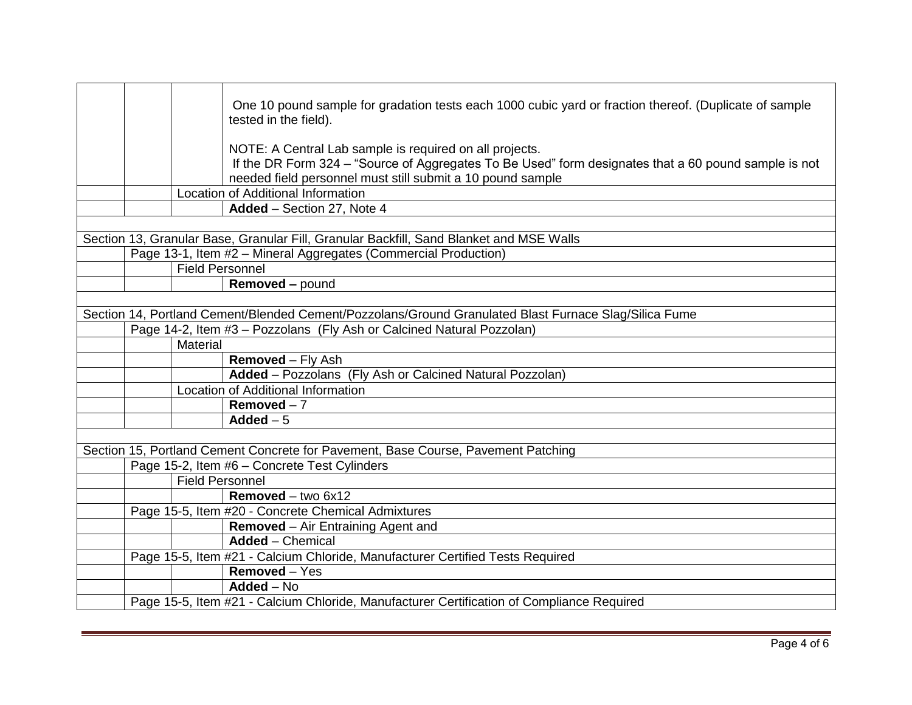|  |                        | One 10 pound sample for gradation tests each 1000 cubic yard or fraction thereof. (Duplicate of sample<br>tested in the field).                                                                                               |
|--|------------------------|-------------------------------------------------------------------------------------------------------------------------------------------------------------------------------------------------------------------------------|
|  |                        | NOTE: A Central Lab sample is required on all projects.<br>If the DR Form 324 - "Source of Aggregates To Be Used" form designates that a 60 pound sample is not<br>needed field personnel must still submit a 10 pound sample |
|  |                        | <b>Location of Additional Information</b>                                                                                                                                                                                     |
|  |                        | Added - Section 27, Note 4                                                                                                                                                                                                    |
|  |                        |                                                                                                                                                                                                                               |
|  |                        | Section 13, Granular Base, Granular Fill, Granular Backfill, Sand Blanket and MSE Walls                                                                                                                                       |
|  |                        | Page 13-1, Item #2 - Mineral Aggregates (Commercial Production)                                                                                                                                                               |
|  | Field Personnel        |                                                                                                                                                                                                                               |
|  |                        | <b>Removed - pound</b>                                                                                                                                                                                                        |
|  |                        |                                                                                                                                                                                                                               |
|  |                        | Section 14, Portland Cement/Blended Cement/Pozzolans/Ground Granulated Blast Furnace Slag/Silica Fume                                                                                                                         |
|  |                        | Page 14-2, Item #3 - Pozzolans (Fly Ash or Calcined Natural Pozzolan)                                                                                                                                                         |
|  | Material               |                                                                                                                                                                                                                               |
|  |                        | <b>Removed - Fly Ash</b>                                                                                                                                                                                                      |
|  |                        | Added - Pozzolans (Fly Ash or Calcined Natural Pozzolan)                                                                                                                                                                      |
|  |                        | Location of Additional Information                                                                                                                                                                                            |
|  |                        | Removed $-7$                                                                                                                                                                                                                  |
|  |                        | Added $-5$                                                                                                                                                                                                                    |
|  |                        |                                                                                                                                                                                                                               |
|  |                        | Section 15, Portland Cement Concrete for Pavement, Base Course, Pavement Patching                                                                                                                                             |
|  |                        | Page 15-2, Item #6 - Concrete Test Cylinders                                                                                                                                                                                  |
|  | <b>Field Personnel</b> |                                                                                                                                                                                                                               |
|  |                        | <b>Removed</b> – two $6x12$                                                                                                                                                                                                   |
|  |                        | Page 15-5, Item #20 - Concrete Chemical Admixtures                                                                                                                                                                            |
|  |                        | <b>Removed</b> – Air Entraining Agent and                                                                                                                                                                                     |
|  |                        | <b>Added</b> – Chemical                                                                                                                                                                                                       |
|  |                        | Page 15-5, Item #21 - Calcium Chloride, Manufacturer Certified Tests Required                                                                                                                                                 |
|  |                        | Removed - Yes                                                                                                                                                                                                                 |
|  |                        | $Added - No$                                                                                                                                                                                                                  |
|  |                        | Page 15-5, Item #21 - Calcium Chloride, Manufacturer Certification of Compliance Required                                                                                                                                     |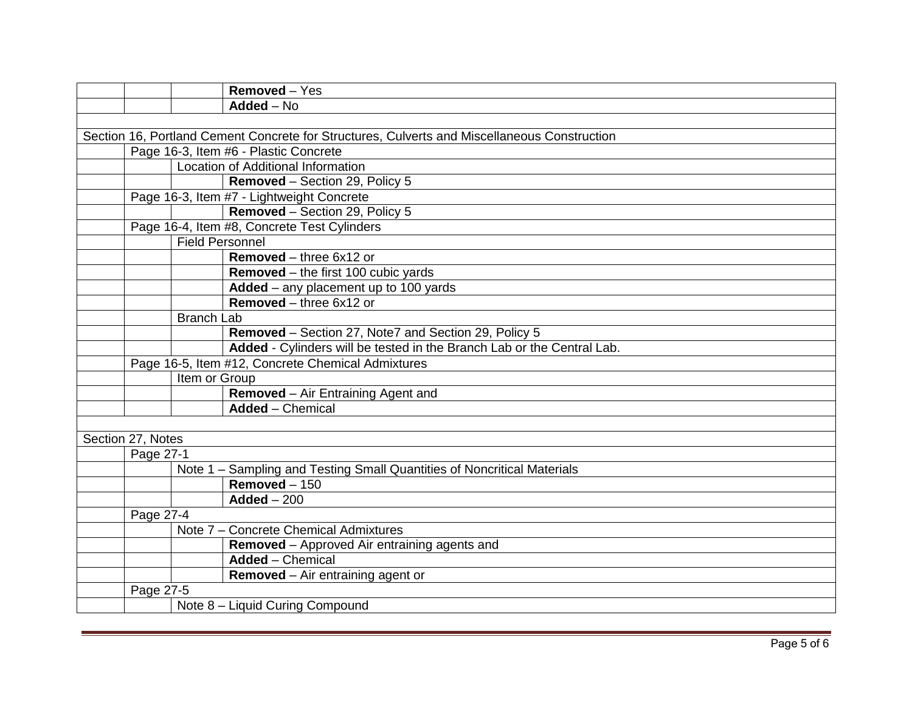|                                                   |                        | Removed - Yes                                                                                |
|---------------------------------------------------|------------------------|----------------------------------------------------------------------------------------------|
|                                                   |                        | $Added - No$                                                                                 |
|                                                   |                        |                                                                                              |
|                                                   |                        | Section 16, Portland Cement Concrete for Structures, Culverts and Miscellaneous Construction |
|                                                   |                        | Page 16-3, Item #6 - Plastic Concrete                                                        |
|                                                   |                        | Location of Additional Information                                                           |
|                                                   |                        | Removed - Section 29, Policy 5                                                               |
|                                                   |                        | Page 16-3, Item #7 - Lightweight Concrete                                                    |
|                                                   |                        | Removed - Section 29, Policy 5                                                               |
|                                                   |                        | Page 16-4, Item #8, Concrete Test Cylinders                                                  |
|                                                   | <b>Field Personnel</b> |                                                                                              |
|                                                   |                        | Removed - three 6x12 or                                                                      |
|                                                   |                        | <b>Removed</b> – the first 100 cubic yards                                                   |
|                                                   |                        | Added - any placement up to 100 yards                                                        |
|                                                   |                        | <b>Removed</b> – three $6x12$ or                                                             |
|                                                   | <b>Branch Lab</b>      |                                                                                              |
|                                                   |                        | Removed - Section 27, Note7 and Section 29, Policy 5                                         |
|                                                   |                        | Added - Cylinders will be tested in the Branch Lab or the Central Lab.                       |
| Page 16-5, Item #12, Concrete Chemical Admixtures |                        |                                                                                              |
|                                                   | Item or Group          |                                                                                              |
|                                                   |                        | Removed - Air Entraining Agent and                                                           |
|                                                   |                        | <b>Added</b> - Chemical                                                                      |
|                                                   |                        |                                                                                              |
| Section 27, Notes                                 |                        |                                                                                              |
| Page 27-1                                         |                        |                                                                                              |
|                                                   |                        | Note 1 - Sampling and Testing Small Quantities of Noncritical Materials                      |
|                                                   |                        | Removed $-150$                                                                               |
|                                                   |                        | $Added - 200$                                                                                |
| Page 27-4                                         |                        |                                                                                              |
|                                                   |                        | Note 7 - Concrete Chemical Admixtures                                                        |
|                                                   |                        | Removed - Approved Air entraining agents and                                                 |
|                                                   |                        | <b>Added</b> – Chemical                                                                      |
|                                                   |                        | <b>Removed</b> – Air entraining agent or                                                     |
| Page 27-5                                         |                        |                                                                                              |
|                                                   |                        | Note 8 - Liquid Curing Compound                                                              |
|                                                   |                        |                                                                                              |